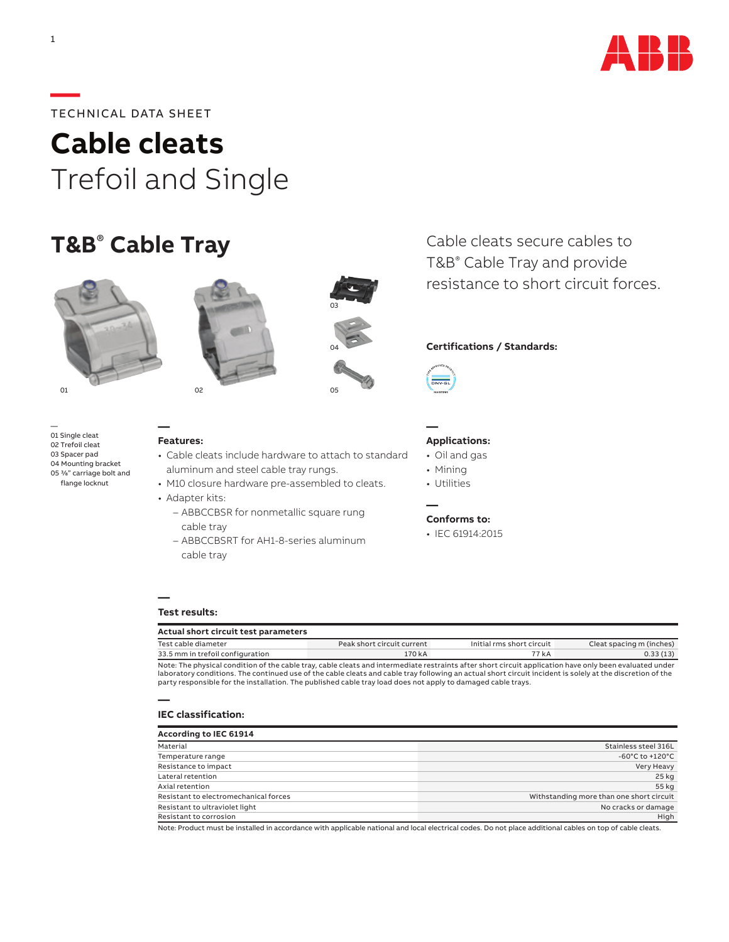

## **—**TECHNICAL DATA SHEET

**Cable cleats** Trefoil and Single

# **T&B**®  **Cable Tray**



— 01 Single cleat 02 Trefoil cleat 03 Spacer pad 04 Mounting bracket 05 3/8" carriage bolt and flange locknut





• Cable cleats include hardware to attach to standard aluminum and steel cable tray rungs.

03

04

- M10 closure hardware pre-assembled to cleats.
- Adapter kits:
	- ABBCCBSR for nonmetallic square rung cable tray
	- ABBCCBSRT for AH1-8-series aluminum cable tray



#### **Certifications / Standards:**



**—**

**—**

#### **Applications:**

- Oil and gas
- Mining
- Utilities

#### **Conforms to:**

• IEC 61914:2015

#### **— Test results:**

| Actual short circuit test parameters |                            |                           |                          |  |  |  |  |
|--------------------------------------|----------------------------|---------------------------|--------------------------|--|--|--|--|
| Test cable diameter                  | Peak short circuit current | Initial rms short circuit | Cleat spacing m (inches) |  |  |  |  |
| 33.5 mm in trefoil configuration     | 170 kA                     | 77 kA                     | 0.33(13)                 |  |  |  |  |
|                                      |                            |                           |                          |  |  |  |  |

Note: The physical condition of the cable tray, cable cleats and intermediate restraints after short circuit application have only been evaluated under laboratory conditions. The continued use of the cable cleats and cable tray following an actual short circuit incident is solely at the discretion of the party responsible for the installation. The published cable tray load does not apply to damaged cable trays.

#### **— IEC classification:**

| According to IEC 61914                |                                          |
|---------------------------------------|------------------------------------------|
| Material                              | Stainless steel 316L                     |
| Temperature range                     | $-60^{\circ}$ C to $+120^{\circ}$ C      |
| Resistance to impact                  | Very Heavy                               |
| Lateral retention                     | 25 kg                                    |
| Axial retention                       | 55 kg                                    |
| Resistant to electromechanical forces | Withstanding more than one short circuit |
| Resistant to ultraviolet light        | No cracks or damage                      |
| Resistant to corrosion                | High                                     |

Note: Product must be installed in accordance with applicable national and local electrical codes. Do not place additional cables on top of cable cleats.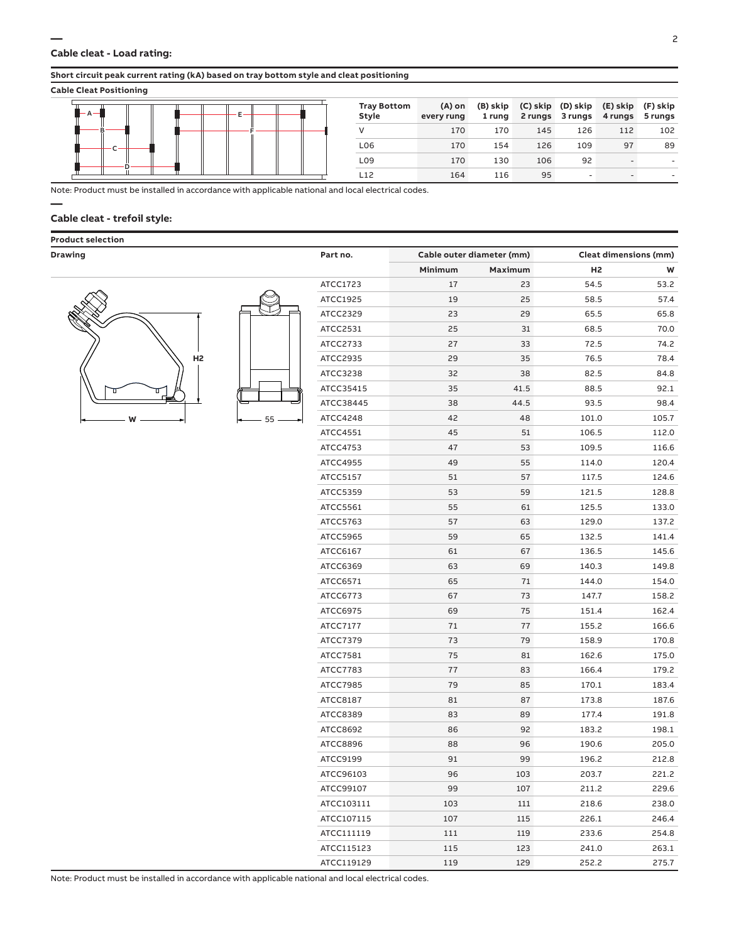#### **Short circuit peak current rating (kA) based on tray bottom style and cleat positioning**

#### **Cable Cleat Positioning**

|  | <b>Tray Bottom</b><br>Style | $(A)$ on<br>every rung | 1 rung |     | 2 rungs 3 rungs | (B) skip (C) skip (D) skip (E) skip (F) skip<br>4 rungs 5 rungs |     |
|--|-----------------------------|------------------------|--------|-----|-----------------|-----------------------------------------------------------------|-----|
|  |                             | 170                    | 170    | 145 | 126             | 112                                                             | 102 |
|  | L06                         | 170                    | 154    | 126 | 109             | 97                                                              | 89  |
|  | L <sub>09</sub>             | 170                    | 130    | 106 | 92              |                                                                 |     |
|  | L12                         | 164                    | 116    | 95  |                 |                                                                 |     |

**—** Note: Product must be installed in accordance with applicable national and local electrical codes.

#### **Cable cleat - trefoil style:**

#### **Product selection**



| 55 |  |
|----|--|

| Minimum<br>Maximum<br>H <sub>2</sub><br>W<br>ATCC1723<br>17<br>23<br>54.5<br>53.2<br>ATCC1925<br>25<br>58.5<br>57.4<br>19<br>ATCC2329<br>29<br>65.8<br>23<br>65.5<br>70.0<br>ATCC2531<br>25<br>31<br>68.5<br>74.2<br>ATCC2733<br>27<br>33<br>72.5<br>H <sub>2</sub><br>78.4<br>29<br>35<br>76.5<br>ATCC2935<br>84.8<br>ATCC3238<br>32<br>38<br>82.5<br>35<br>92.1<br>ATCC35415<br>41.5<br>88.5<br>98.4<br>38<br>44.5<br>ATCC38445<br>93.5<br>42<br>48<br>101.0<br>105.7<br>ATCC4248<br>55<br>W<br>45<br>51<br>106.5<br>112.0<br>ATCC4551<br>47<br>53<br>109.5<br>116.6<br>ATCC4753<br>49<br>55<br>114.0<br>120.4<br>ATCC4955<br>51<br>57<br>117.5<br>124.6<br>ATCC5157<br>53<br>59<br>121.5<br>128.8<br>ATCC5359<br>55<br>61<br>125.5<br>133.0<br>ATCC5561<br>ATCC5763<br>57<br>63<br>129.0<br>137.2<br>132.5<br>ATCC5965<br>59<br>65<br>141.4<br>ATCC6167<br>61<br>67<br>136.5<br>145.6<br>ATCC6369<br>63<br>69<br>140.3<br>149.8<br>65<br>71<br>144.0<br>154.0<br>ATCC6571<br>67<br>73<br>158.2<br>ATCC6773<br>147.7<br>69<br>75<br>162.4<br>ATCC6975<br>151.4<br>71<br>77<br>166.6<br>ATCC7177<br>155.2<br>79<br>ATCC7379<br>73<br>158.9<br>170.8<br>75<br>81<br>162.6<br>175.0<br>ATCC7581<br>83<br>166.4<br>179.2<br>ATCC7783<br>77<br>79<br>85<br>170.1<br>183.4<br>ATCC7985<br>81<br>87<br>173.8<br>187.6<br>ATCC8187<br>ATCC8389<br>83<br>89<br>177.4<br>191.8<br>86<br>198.1<br>ATCC8692<br>92<br>183.2<br>ATCC8896<br>88<br>96<br>190.6<br>205.0<br>99<br>ATCC9199<br>91<br>196.2<br>212.8<br>96<br>103<br>221.2<br>203.7<br>ATCC96103<br>ATCC99107<br>99<br>107<br>211.2<br>229.6<br>ATCC103111<br>103<br>111<br>218.6<br>238.0<br>ATCC107115<br>107<br>115<br>226.1<br>246.4<br>254.8<br>ATCC111119<br>111<br>119<br>233.6<br>ATCC115123<br>123<br>241.0<br>115<br>263.1<br>ATCC119129<br>119<br>129<br>252.2<br>275.7 | <b>Drawing</b> | Part no. | Cable outer diameter (mm) | <b>Cleat dimensions (mm)</b> |  |  |
|------------------------------------------------------------------------------------------------------------------------------------------------------------------------------------------------------------------------------------------------------------------------------------------------------------------------------------------------------------------------------------------------------------------------------------------------------------------------------------------------------------------------------------------------------------------------------------------------------------------------------------------------------------------------------------------------------------------------------------------------------------------------------------------------------------------------------------------------------------------------------------------------------------------------------------------------------------------------------------------------------------------------------------------------------------------------------------------------------------------------------------------------------------------------------------------------------------------------------------------------------------------------------------------------------------------------------------------------------------------------------------------------------------------------------------------------------------------------------------------------------------------------------------------------------------------------------------------------------------------------------------------------------------------------------------------------------------------------------------------------------------------------------------------------------------------------------------|----------------|----------|---------------------------|------------------------------|--|--|
|                                                                                                                                                                                                                                                                                                                                                                                                                                                                                                                                                                                                                                                                                                                                                                                                                                                                                                                                                                                                                                                                                                                                                                                                                                                                                                                                                                                                                                                                                                                                                                                                                                                                                                                                                                                                                                    |                |          |                           |                              |  |  |
|                                                                                                                                                                                                                                                                                                                                                                                                                                                                                                                                                                                                                                                                                                                                                                                                                                                                                                                                                                                                                                                                                                                                                                                                                                                                                                                                                                                                                                                                                                                                                                                                                                                                                                                                                                                                                                    |                |          |                           |                              |  |  |
|                                                                                                                                                                                                                                                                                                                                                                                                                                                                                                                                                                                                                                                                                                                                                                                                                                                                                                                                                                                                                                                                                                                                                                                                                                                                                                                                                                                                                                                                                                                                                                                                                                                                                                                                                                                                                                    |                |          |                           |                              |  |  |
|                                                                                                                                                                                                                                                                                                                                                                                                                                                                                                                                                                                                                                                                                                                                                                                                                                                                                                                                                                                                                                                                                                                                                                                                                                                                                                                                                                                                                                                                                                                                                                                                                                                                                                                                                                                                                                    |                |          |                           |                              |  |  |
|                                                                                                                                                                                                                                                                                                                                                                                                                                                                                                                                                                                                                                                                                                                                                                                                                                                                                                                                                                                                                                                                                                                                                                                                                                                                                                                                                                                                                                                                                                                                                                                                                                                                                                                                                                                                                                    |                |          |                           |                              |  |  |
|                                                                                                                                                                                                                                                                                                                                                                                                                                                                                                                                                                                                                                                                                                                                                                                                                                                                                                                                                                                                                                                                                                                                                                                                                                                                                                                                                                                                                                                                                                                                                                                                                                                                                                                                                                                                                                    |                |          |                           |                              |  |  |
|                                                                                                                                                                                                                                                                                                                                                                                                                                                                                                                                                                                                                                                                                                                                                                                                                                                                                                                                                                                                                                                                                                                                                                                                                                                                                                                                                                                                                                                                                                                                                                                                                                                                                                                                                                                                                                    |                |          |                           |                              |  |  |
|                                                                                                                                                                                                                                                                                                                                                                                                                                                                                                                                                                                                                                                                                                                                                                                                                                                                                                                                                                                                                                                                                                                                                                                                                                                                                                                                                                                                                                                                                                                                                                                                                                                                                                                                                                                                                                    |                |          |                           |                              |  |  |
|                                                                                                                                                                                                                                                                                                                                                                                                                                                                                                                                                                                                                                                                                                                                                                                                                                                                                                                                                                                                                                                                                                                                                                                                                                                                                                                                                                                                                                                                                                                                                                                                                                                                                                                                                                                                                                    |                |          |                           |                              |  |  |
|                                                                                                                                                                                                                                                                                                                                                                                                                                                                                                                                                                                                                                                                                                                                                                                                                                                                                                                                                                                                                                                                                                                                                                                                                                                                                                                                                                                                                                                                                                                                                                                                                                                                                                                                                                                                                                    |                |          |                           |                              |  |  |
|                                                                                                                                                                                                                                                                                                                                                                                                                                                                                                                                                                                                                                                                                                                                                                                                                                                                                                                                                                                                                                                                                                                                                                                                                                                                                                                                                                                                                                                                                                                                                                                                                                                                                                                                                                                                                                    |                |          |                           |                              |  |  |
|                                                                                                                                                                                                                                                                                                                                                                                                                                                                                                                                                                                                                                                                                                                                                                                                                                                                                                                                                                                                                                                                                                                                                                                                                                                                                                                                                                                                                                                                                                                                                                                                                                                                                                                                                                                                                                    |                |          |                           |                              |  |  |
|                                                                                                                                                                                                                                                                                                                                                                                                                                                                                                                                                                                                                                                                                                                                                                                                                                                                                                                                                                                                                                                                                                                                                                                                                                                                                                                                                                                                                                                                                                                                                                                                                                                                                                                                                                                                                                    |                |          |                           |                              |  |  |
|                                                                                                                                                                                                                                                                                                                                                                                                                                                                                                                                                                                                                                                                                                                                                                                                                                                                                                                                                                                                                                                                                                                                                                                                                                                                                                                                                                                                                                                                                                                                                                                                                                                                                                                                                                                                                                    |                |          |                           |                              |  |  |
|                                                                                                                                                                                                                                                                                                                                                                                                                                                                                                                                                                                                                                                                                                                                                                                                                                                                                                                                                                                                                                                                                                                                                                                                                                                                                                                                                                                                                                                                                                                                                                                                                                                                                                                                                                                                                                    |                |          |                           |                              |  |  |
|                                                                                                                                                                                                                                                                                                                                                                                                                                                                                                                                                                                                                                                                                                                                                                                                                                                                                                                                                                                                                                                                                                                                                                                                                                                                                                                                                                                                                                                                                                                                                                                                                                                                                                                                                                                                                                    |                |          |                           |                              |  |  |
|                                                                                                                                                                                                                                                                                                                                                                                                                                                                                                                                                                                                                                                                                                                                                                                                                                                                                                                                                                                                                                                                                                                                                                                                                                                                                                                                                                                                                                                                                                                                                                                                                                                                                                                                                                                                                                    |                |          |                           |                              |  |  |
|                                                                                                                                                                                                                                                                                                                                                                                                                                                                                                                                                                                                                                                                                                                                                                                                                                                                                                                                                                                                                                                                                                                                                                                                                                                                                                                                                                                                                                                                                                                                                                                                                                                                                                                                                                                                                                    |                |          |                           |                              |  |  |
|                                                                                                                                                                                                                                                                                                                                                                                                                                                                                                                                                                                                                                                                                                                                                                                                                                                                                                                                                                                                                                                                                                                                                                                                                                                                                                                                                                                                                                                                                                                                                                                                                                                                                                                                                                                                                                    |                |          |                           |                              |  |  |
|                                                                                                                                                                                                                                                                                                                                                                                                                                                                                                                                                                                                                                                                                                                                                                                                                                                                                                                                                                                                                                                                                                                                                                                                                                                                                                                                                                                                                                                                                                                                                                                                                                                                                                                                                                                                                                    |                |          |                           |                              |  |  |
|                                                                                                                                                                                                                                                                                                                                                                                                                                                                                                                                                                                                                                                                                                                                                                                                                                                                                                                                                                                                                                                                                                                                                                                                                                                                                                                                                                                                                                                                                                                                                                                                                                                                                                                                                                                                                                    |                |          |                           |                              |  |  |
|                                                                                                                                                                                                                                                                                                                                                                                                                                                                                                                                                                                                                                                                                                                                                                                                                                                                                                                                                                                                                                                                                                                                                                                                                                                                                                                                                                                                                                                                                                                                                                                                                                                                                                                                                                                                                                    |                |          |                           |                              |  |  |
|                                                                                                                                                                                                                                                                                                                                                                                                                                                                                                                                                                                                                                                                                                                                                                                                                                                                                                                                                                                                                                                                                                                                                                                                                                                                                                                                                                                                                                                                                                                                                                                                                                                                                                                                                                                                                                    |                |          |                           |                              |  |  |
|                                                                                                                                                                                                                                                                                                                                                                                                                                                                                                                                                                                                                                                                                                                                                                                                                                                                                                                                                                                                                                                                                                                                                                                                                                                                                                                                                                                                                                                                                                                                                                                                                                                                                                                                                                                                                                    |                |          |                           |                              |  |  |
|                                                                                                                                                                                                                                                                                                                                                                                                                                                                                                                                                                                                                                                                                                                                                                                                                                                                                                                                                                                                                                                                                                                                                                                                                                                                                                                                                                                                                                                                                                                                                                                                                                                                                                                                                                                                                                    |                |          |                           |                              |  |  |
|                                                                                                                                                                                                                                                                                                                                                                                                                                                                                                                                                                                                                                                                                                                                                                                                                                                                                                                                                                                                                                                                                                                                                                                                                                                                                                                                                                                                                                                                                                                                                                                                                                                                                                                                                                                                                                    |                |          |                           |                              |  |  |
|                                                                                                                                                                                                                                                                                                                                                                                                                                                                                                                                                                                                                                                                                                                                                                                                                                                                                                                                                                                                                                                                                                                                                                                                                                                                                                                                                                                                                                                                                                                                                                                                                                                                                                                                                                                                                                    |                |          |                           |                              |  |  |
|                                                                                                                                                                                                                                                                                                                                                                                                                                                                                                                                                                                                                                                                                                                                                                                                                                                                                                                                                                                                                                                                                                                                                                                                                                                                                                                                                                                                                                                                                                                                                                                                                                                                                                                                                                                                                                    |                |          |                           |                              |  |  |
|                                                                                                                                                                                                                                                                                                                                                                                                                                                                                                                                                                                                                                                                                                                                                                                                                                                                                                                                                                                                                                                                                                                                                                                                                                                                                                                                                                                                                                                                                                                                                                                                                                                                                                                                                                                                                                    |                |          |                           |                              |  |  |
|                                                                                                                                                                                                                                                                                                                                                                                                                                                                                                                                                                                                                                                                                                                                                                                                                                                                                                                                                                                                                                                                                                                                                                                                                                                                                                                                                                                                                                                                                                                                                                                                                                                                                                                                                                                                                                    |                |          |                           |                              |  |  |
|                                                                                                                                                                                                                                                                                                                                                                                                                                                                                                                                                                                                                                                                                                                                                                                                                                                                                                                                                                                                                                                                                                                                                                                                                                                                                                                                                                                                                                                                                                                                                                                                                                                                                                                                                                                                                                    |                |          |                           |                              |  |  |
|                                                                                                                                                                                                                                                                                                                                                                                                                                                                                                                                                                                                                                                                                                                                                                                                                                                                                                                                                                                                                                                                                                                                                                                                                                                                                                                                                                                                                                                                                                                                                                                                                                                                                                                                                                                                                                    |                |          |                           |                              |  |  |
|                                                                                                                                                                                                                                                                                                                                                                                                                                                                                                                                                                                                                                                                                                                                                                                                                                                                                                                                                                                                                                                                                                                                                                                                                                                                                                                                                                                                                                                                                                                                                                                                                                                                                                                                                                                                                                    |                |          |                           |                              |  |  |
|                                                                                                                                                                                                                                                                                                                                                                                                                                                                                                                                                                                                                                                                                                                                                                                                                                                                                                                                                                                                                                                                                                                                                                                                                                                                                                                                                                                                                                                                                                                                                                                                                                                                                                                                                                                                                                    |                |          |                           |                              |  |  |
|                                                                                                                                                                                                                                                                                                                                                                                                                                                                                                                                                                                                                                                                                                                                                                                                                                                                                                                                                                                                                                                                                                                                                                                                                                                                                                                                                                                                                                                                                                                                                                                                                                                                                                                                                                                                                                    |                |          |                           |                              |  |  |
|                                                                                                                                                                                                                                                                                                                                                                                                                                                                                                                                                                                                                                                                                                                                                                                                                                                                                                                                                                                                                                                                                                                                                                                                                                                                                                                                                                                                                                                                                                                                                                                                                                                                                                                                                                                                                                    |                |          |                           |                              |  |  |
|                                                                                                                                                                                                                                                                                                                                                                                                                                                                                                                                                                                                                                                                                                                                                                                                                                                                                                                                                                                                                                                                                                                                                                                                                                                                                                                                                                                                                                                                                                                                                                                                                                                                                                                                                                                                                                    |                |          |                           |                              |  |  |
|                                                                                                                                                                                                                                                                                                                                                                                                                                                                                                                                                                                                                                                                                                                                                                                                                                                                                                                                                                                                                                                                                                                                                                                                                                                                                                                                                                                                                                                                                                                                                                                                                                                                                                                                                                                                                                    |                |          |                           |                              |  |  |
|                                                                                                                                                                                                                                                                                                                                                                                                                                                                                                                                                                                                                                                                                                                                                                                                                                                                                                                                                                                                                                                                                                                                                                                                                                                                                                                                                                                                                                                                                                                                                                                                                                                                                                                                                                                                                                    |                |          |                           |                              |  |  |
|                                                                                                                                                                                                                                                                                                                                                                                                                                                                                                                                                                                                                                                                                                                                                                                                                                                                                                                                                                                                                                                                                                                                                                                                                                                                                                                                                                                                                                                                                                                                                                                                                                                                                                                                                                                                                                    |                |          |                           |                              |  |  |
|                                                                                                                                                                                                                                                                                                                                                                                                                                                                                                                                                                                                                                                                                                                                                                                                                                                                                                                                                                                                                                                                                                                                                                                                                                                                                                                                                                                                                                                                                                                                                                                                                                                                                                                                                                                                                                    |                |          |                           |                              |  |  |

Note: Product must be installed in accordance with applicable national and local electrical codes.